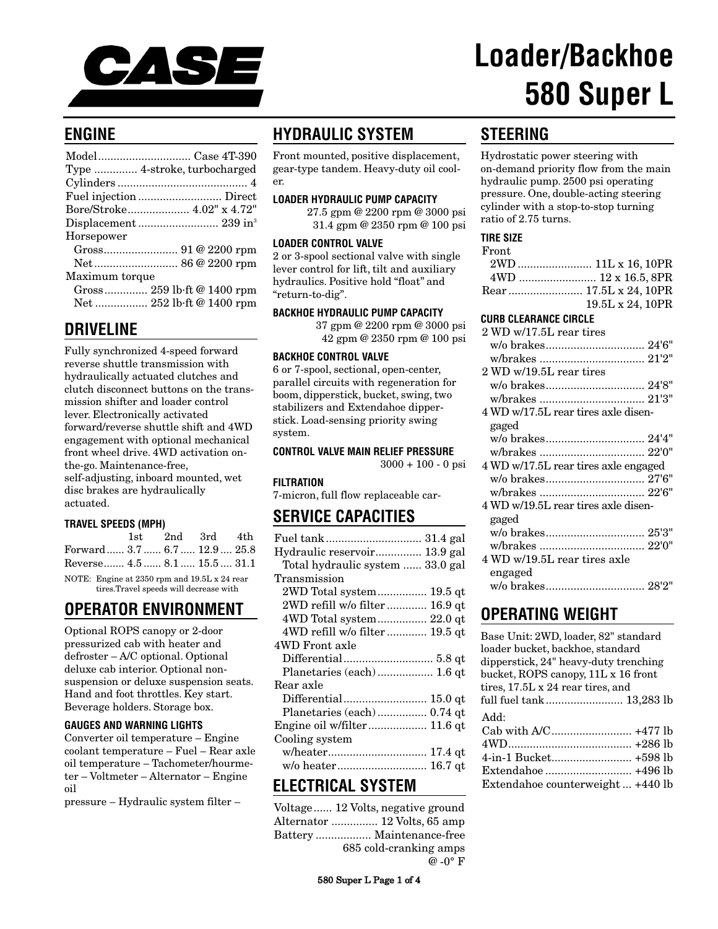

# **Loader/Backhoe 580 Super L**

# **ENGINE**

|                | Type  4-stroke, turbocharged |
|----------------|------------------------------|
|                |                              |
|                |                              |
|                | Bore/Stroke 4.02" x 4.72"    |
|                |                              |
| Horsepower     |                              |
|                |                              |
|                |                              |
| Maximum torque |                              |
|                | Gross 259 lb·ft @ 1400 rpm   |
|                | Net  252 lb·ft @ 1400 rpm    |
|                |                              |

## **DRIVELINE**

Fully synchronized 4-speed forward reverse shuttle transmission with hydraulically actuated clutches and clutch disconnect buttons on the transmission shifter and loader control lever. Electronically activated forward/reverse shuttle shift and 4WD engagement with optional mechanical front wheel drive. 4WD activation onthe-go. Maintenance-free, self-adjusting, inboard mounted, wet disc brakes are hydraulically actuated.

## **TRAVEL SPEEDS (MPH)**

|                           |  | 1st 2nd 3rd 4th |  |
|---------------------------|--|-----------------|--|
| Forward 3.7 6.7 12.9 25.8 |  |                 |  |
| Reverse 4.5 8.1 15.5 31.1 |  |                 |  |

NOTE: Engine at 2350 rpm and 19.5L x 24 rear tires.Travel speeds will decrease with

# **OPERATOR ENVIRONMENT**

Optional ROPS canopy or 2-door pressurized cab with heater and defroster – A/C optional. Optional deluxe cab interior. Optional nonsuspension or deluxe suspension seats. Hand and foot throttles. Key start. Beverage holders. Storage box.

## **GAUGES AND WARNING LIGHTS**

Converter oil temperature – Engine coolant temperature – Fuel – Rear axle oil temperature – Tachometer/hourmeter – Voltmeter – Alternator – Engine oil

pressure – Hydraulic system filter –

# **HYDRAULIC SYSTEM**

Front mounted, positive displacement, gear-type tandem. Heavy-duty oil cooler.

#### **LOADER HYDRAULIC PUMP CAPACITY**

27.5 gpm @ 2200 rpm @ 3000 psi 31.4 gpm @ 2350 rpm @ 100 psi

#### **LOADER CONTROL VALVE**

2 or 3-spool sectional valve with single lever control for lift, tilt and auxiliary hydraulics. Positive hold "float" and "return-to-dig".

## **BACKHOE HYDRAULIC PUMP CAPACITY**

37 gpm @ 2200 rpm @ 3000 psi 42 gpm @ 2350 rpm @ 100 psi

#### **BACKHOE CONTROL VALVE**

6 or 7-spool, sectional, open-center, parallel circuits with regeneration for boom, dipperstick, bucket, swing, two stabilizers and Extendahoe dipperstick. Load-sensing priority swing system.

## **CONTROL VALVE MAIN RELIEF PRESSURE**

 $3000 + 100 - 0$  psi

## **FILTRATION**

7-micron, full flow replaceable car-

## **SERVICE CAPACITIES**

| Hydraulic reservoir 13.9 gal     |
|----------------------------------|
| Total hydraulic system  33.0 gal |
| Transmission                     |
|                                  |
| 2WD refill w/o filter 16.9 qt    |
| 4WD Total system 22.0 qt         |
| 4WD refill w/o filter  19.5 qt   |
| 4WD Front axle                   |
|                                  |
| Planetaries (each)  1.6 qt       |
| Rear axle                        |
| Differential 15.0 qt             |
| Planetaries (each)  0.74 qt      |
| Engine oil w/filter 11.6 qt      |
| Cooling system                   |
|                                  |
| w/o heater 16.7 qt               |

## **ELECTRICAL SYSTEM**

| Voltage 12 Volts, negative ground |
|-----------------------------------|
| Alternator  12 Volts, 65 amp      |
|                                   |
| 685 cold-cranking amps            |
| $\omega$ -0° F                    |

# **STEERING**

Hydrostatic power steering with on-demand priority flow from the main hydraulic pump. 2500 psi operating pressure. One, double-acting steering cylinder with a stop-to-stop turning ratio of 2.75 turns.

#### **TIRE SIZE**

| $\operatorname{Front}$ |                        |
|------------------------|------------------------|
|                        |                        |
|                        |                        |
|                        | Rear  17.5L x 24, 10PR |
|                        | 19.5L x 24, 10PR       |

## **CURB CLEARANCE CIRCLE**

| $2 \,\mathrm{WD}$ w/17.5L rear tires |  |
|--------------------------------------|--|
|                                      |  |
|                                      |  |
| 2 WD w/19.5L rear tires              |  |
|                                      |  |
|                                      |  |
| 4 WD w/17.5L rear tires axle disen-  |  |
| gaged                                |  |
|                                      |  |
|                                      |  |
| 4 WD w/17.5L rear tires axle engaged |  |
|                                      |  |
|                                      |  |
| 4 WD w/19.5L rear tires axle disen-  |  |
| gaged                                |  |
|                                      |  |
|                                      |  |
| 4 WD w/19.5L rear tires axle         |  |
| engaged                              |  |
|                                      |  |
|                                      |  |

# **OPERATING WEIGHT**

| Base Unit: 2WD, loader, 82" standard<br>loader bucket, backhoe, standard<br>dipperstick, 24" heavy-duty trenching<br>bucket, ROPS canopy, 11L x 16 front |
|----------------------------------------------------------------------------------------------------------------------------------------------------------|
| tires, 17.5L x 24 rear tires, and<br>full fuel tank 13,283 lb                                                                                            |
| Add:<br>Extendance counterweight +440 lb                                                                                                                 |

580 Super L Page 1 of 4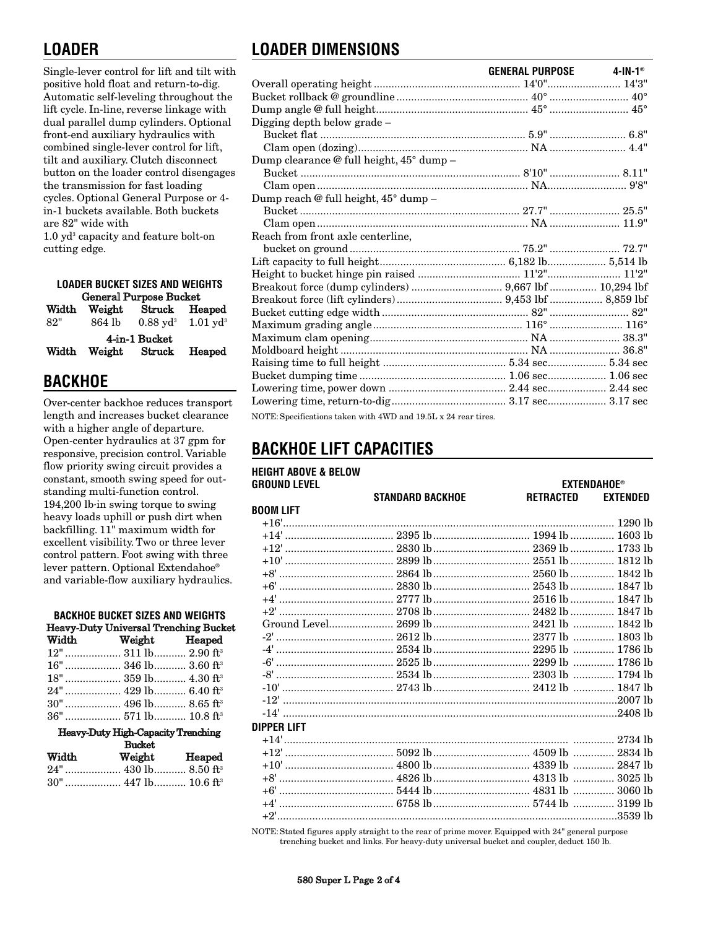# **LOADER**

Single-lever control for lift and tilt with positive hold float and return-to-dig. Automatic self-leveling throughout the lift cycle. In-line, reverse linkage with dual parallel dump cylinders. Optional front-end auxiliary hydraulics with combined single-lever control for lift, tilt and auxiliary. Clutch disconnect button on the loader control disengages the transmission for fast loading cycles. Optional General Purpose or 4 in-1 buckets available. Both buckets are 82" wide with

 $1.0$  yd<sup>3</sup> capacity and feature bolt-on cutting edge.

| <b>LOADER BUCKET SIZES AND WEIGHTS</b>            |                               |                                          |  |  |  |
|---------------------------------------------------|-------------------------------|------------------------------------------|--|--|--|
|                                                   | <b>General Purpose Bucket</b> |                                          |  |  |  |
| Weight<br>Struck Heaped<br>Width                  |                               |                                          |  |  |  |
| 82"                                               | 864 lb                        | $0.88 \text{ yd}^3$ 1.01 yd <sup>3</sup> |  |  |  |
| 4-in-1 Bucket<br>Weight Struck<br>Heaped<br>Width |                               |                                          |  |  |  |

# **BACKHOE**

Over-center backhoe reduces transport length and increases bucket clearance with a higher angle of departure. Open-center hydraulics at 37 gpm for responsive, precision control. Variable flow priority swing circuit provides a constant, smooth swing speed for outstanding multi-function control. 194,200 lb·in swing torque to swing heavy loads uphill or push dirt when backfilling. 11" maximum width for excellent visibility. Two or three lever control pattern. Foot swing with three lever pattern. Optional Extendahoe® and variable-flow auxiliary hydraulics.

| <b>BACKHOE BUCKET SIZES AND WEIGHTS</b>   |                                       |  |  |
|-------------------------------------------|---------------------------------------|--|--|
|                                           | Heavy-Duty Universal Trenching Bucket |  |  |
| Width                                     | Weight Heaped                         |  |  |
|                                           | 12"  311 lb 2.90 ft <sup>3</sup>      |  |  |
|                                           |                                       |  |  |
|                                           |                                       |  |  |
|                                           |                                       |  |  |
|                                           |                                       |  |  |
|                                           |                                       |  |  |
| <b>Heavy-Duty High-Capacity Trenching</b> |                                       |  |  |
| <b>Bucket</b>                             |                                       |  |  |

| Width | Weight | Heaped |
|-------|--------|--------|
|       |        |        |
|       |        |        |

# **LOADER DIMENSIONS**

|                                                                  | GENERAL PURPOSE | 4-IN-1® |
|------------------------------------------------------------------|-----------------|---------|
|                                                                  |                 |         |
| Bucket rollback @ groundline ………………………………………………………………………………… 40° |                 |         |
|                                                                  |                 |         |
| Digging depth below grade -                                      |                 |         |
|                                                                  |                 |         |
|                                                                  |                 |         |
| Dump clearance @ full height, 45° dump -                         |                 |         |
|                                                                  |                 |         |
|                                                                  |                 |         |
| Dump reach @ full height, 45° dump -                             |                 |         |
|                                                                  |                 |         |
|                                                                  |                 |         |
| Reach from front axle centerline,                                |                 |         |
|                                                                  |                 |         |
|                                                                  |                 |         |
|                                                                  |                 |         |
|                                                                  |                 |         |
|                                                                  |                 |         |
|                                                                  |                 |         |
|                                                                  |                 |         |
|                                                                  |                 |         |
|                                                                  |                 |         |
|                                                                  |                 |         |
|                                                                  |                 |         |
|                                                                  |                 |         |
|                                                                  |                 |         |
| NOTE: Specifications taken with 4WD and 19.5L x 24 rear tires.   |                 |         |

# **BACKHOE LIFT CAPACITIES**

| <b>HEIGHT ABOVE &amp; BELOW</b> |                         |                    |                 |
|---------------------------------|-------------------------|--------------------|-----------------|
| <b>GROUND LEVEL</b>             |                         | <b>EXTENDAHOE®</b> |                 |
|                                 | <b>STANDARD BACKHOE</b> | RETRACTED          | <b>EXTENDED</b> |
| <b>BOOM LIFT</b>                |                         |                    |                 |
|                                 |                         |                    |                 |
|                                 |                         |                    |                 |
|                                 |                         |                    |                 |
|                                 |                         |                    |                 |
|                                 |                         |                    |                 |
|                                 |                         |                    |                 |
|                                 |                         |                    |                 |
|                                 |                         |                    |                 |
|                                 |                         |                    |                 |
|                                 |                         |                    |                 |
|                                 |                         |                    |                 |
|                                 |                         |                    |                 |
|                                 |                         |                    |                 |
|                                 |                         |                    |                 |
|                                 |                         |                    |                 |
|                                 |                         |                    |                 |
| <b>DIPPER LIFT</b>              |                         |                    |                 |
|                                 |                         |                    |                 |
|                                 |                         |                    |                 |
|                                 |                         |                    |                 |
|                                 |                         |                    |                 |
|                                 |                         |                    |                 |
|                                 |                         |                    |                 |
|                                 |                         |                    |                 |
|                                 |                         |                    |                 |

NOTE: Stated figures apply straight to the rear of prime mover. Equipped with 24" general purpose trenching bucket and links. For heavy-duty universal bucket and coupler, deduct 150 lb.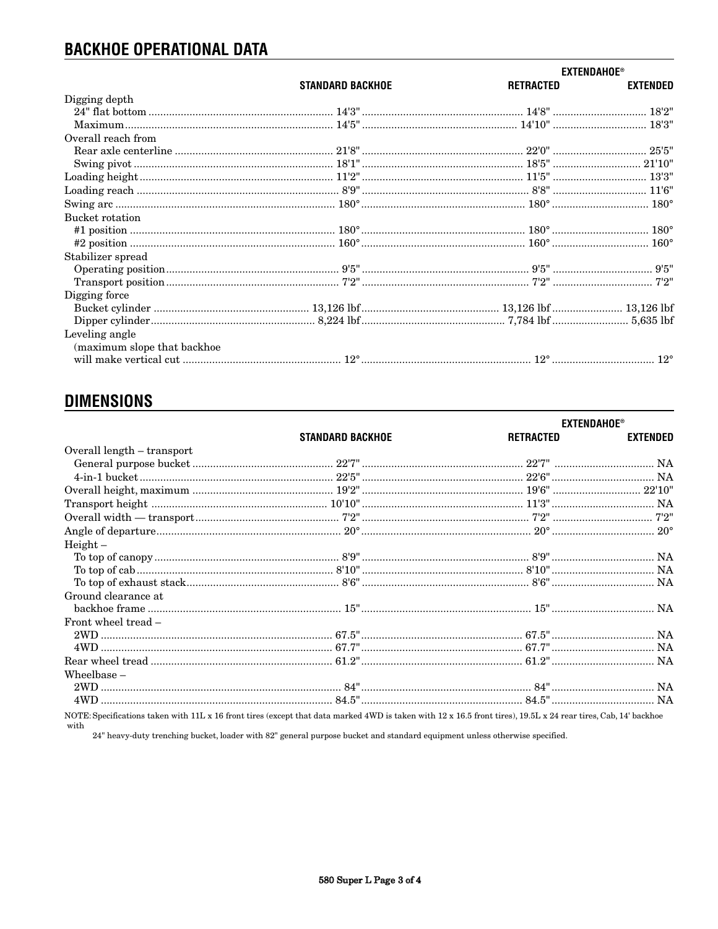# **BACKHOE OPERATIONAL DATA**

|                             |                         | <b>EXTENDAHOE®</b> |                 |
|-----------------------------|-------------------------|--------------------|-----------------|
|                             | <b>STANDARD BACKHOE</b> | RETRACTED          | <b>EXTENDED</b> |
| Digging depth               |                         |                    |                 |
|                             |                         |                    |                 |
|                             |                         |                    |                 |
| Overall reach from          |                         |                    |                 |
|                             |                         |                    |                 |
|                             |                         |                    |                 |
|                             |                         |                    |                 |
|                             |                         |                    |                 |
|                             |                         |                    |                 |
| Bucket rotation             |                         |                    |                 |
|                             |                         |                    |                 |
|                             |                         |                    |                 |
| Stabilizer spread           |                         |                    |                 |
|                             |                         |                    |                 |
|                             |                         |                    |                 |
| Digging force               |                         |                    |                 |
|                             |                         |                    |                 |
|                             |                         |                    |                 |
| Leveling angle              |                         |                    |                 |
| (maximum slope that backhoe |                         |                    |                 |
|                             |                         |                    |                 |

# **DIMENSIONS**

|                                                                                                                                                                         |                         |           | <b>EXTENDAHOE®</b> |
|-------------------------------------------------------------------------------------------------------------------------------------------------------------------------|-------------------------|-----------|--------------------|
|                                                                                                                                                                         | <b>STANDARD BACKHOE</b> | RETRACTED | <b>EXTENDED</b>    |
| Overall length – transport                                                                                                                                              |                         |           |                    |
|                                                                                                                                                                         |                         |           |                    |
|                                                                                                                                                                         |                         |           |                    |
|                                                                                                                                                                         |                         |           |                    |
|                                                                                                                                                                         |                         |           |                    |
|                                                                                                                                                                         |                         |           |                    |
|                                                                                                                                                                         |                         |           |                    |
| $Height -$                                                                                                                                                              |                         |           |                    |
|                                                                                                                                                                         |                         |           |                    |
|                                                                                                                                                                         |                         |           |                    |
|                                                                                                                                                                         |                         |           |                    |
| Ground clearance at                                                                                                                                                     |                         |           |                    |
|                                                                                                                                                                         |                         |           |                    |
| Front wheel tread -                                                                                                                                                     |                         |           |                    |
|                                                                                                                                                                         |                         |           |                    |
|                                                                                                                                                                         |                         |           |                    |
|                                                                                                                                                                         |                         |           |                    |
| Wheelbase $-$                                                                                                                                                           |                         |           |                    |
|                                                                                                                                                                         |                         |           |                    |
|                                                                                                                                                                         |                         |           |                    |
| NOTE: Specifications taken with 11L x 16 front tires (except that data marked 4WD is taken with 12 x 16.5 front tires), 19.5L x 24 rear tires, Cab, 14' backhoe<br>with |                         |           |                    |

24" heavy-duty trenching bucket, loader with 82" general purpose bucket and standard equipment unless otherwise specified.